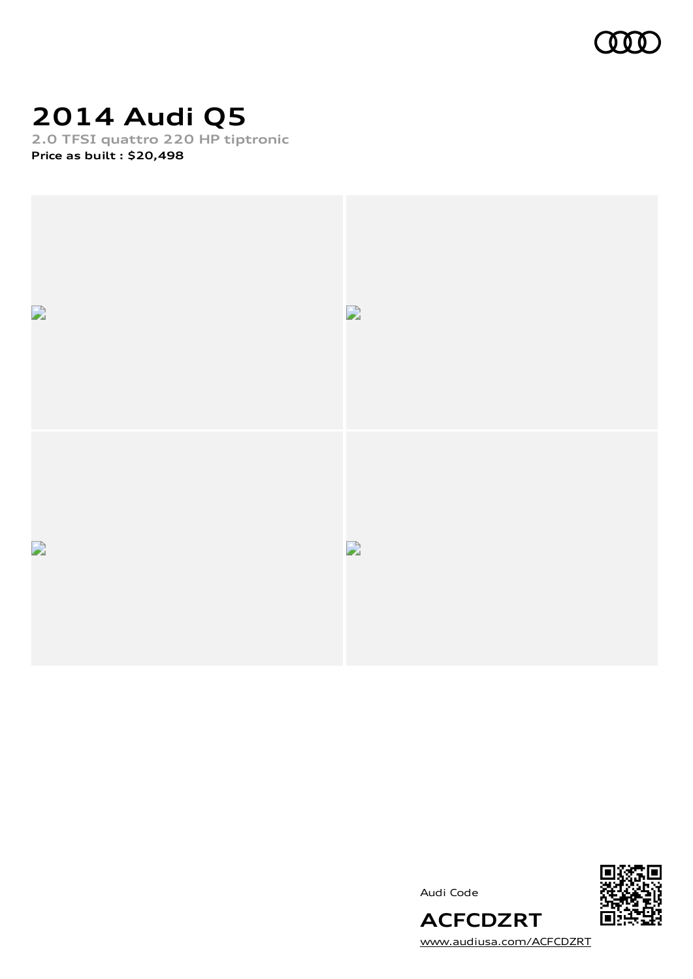

## **2014 Audi Q5**

**2.0 TFSI quattro 220 HP tiptronic Price as built [:](#page-10-0) \$20,498**







[www.audiusa.com/ACFCDZRT](https://www.audiusa.com/ACFCDZRT)

**ACFCDZRT**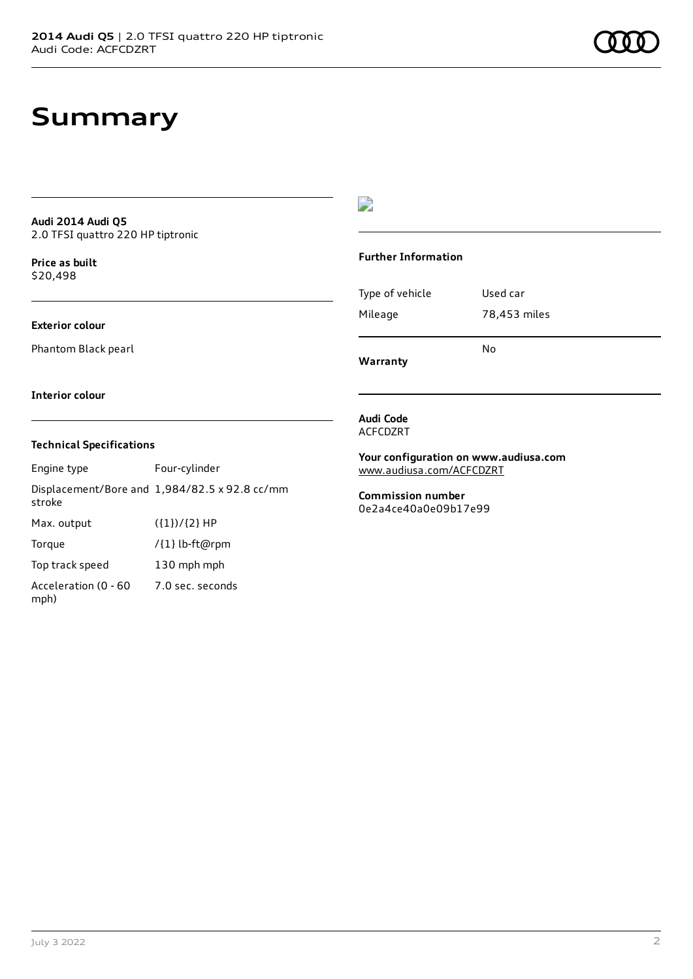## **Summary**

### **Audi 2014 Audi Q5** 2.0 TFSI quattro 220 HP tiptronic

**Price as buil[t](#page-10-0)** \$20,498

## **Exterior colour**

Phantom Black pearl

## $\overline{\phantom{a}}$

### **Further Information**

|                 | N٥           |
|-----------------|--------------|
| Mileage         | 78,453 miles |
| Type of vehicle | Used car     |

**Warranty**

### **Interior colour**

## **Technical Specifications**

| Engine type                  | Four-cylinder                                 |
|------------------------------|-----------------------------------------------|
| stroke                       | Displacement/Bore and 1,984/82.5 x 92.8 cc/mm |
| Max. output                  | $({1})/{2}$ HP                                |
| Torque                       | /{1} lb-ft@rpm                                |
| Top track speed              | 130 mph mph                                   |
| Acceleration (0 - 60<br>mph) | 7.0 sec. seconds                              |

#### **Audi Code** ACFCDZRT

**Your configuration on www.audiusa.com** [www.audiusa.com/ACFCDZRT](https://www.audiusa.com/ACFCDZRT)

**Commission number** 0e2a4ce40a0e09b17e99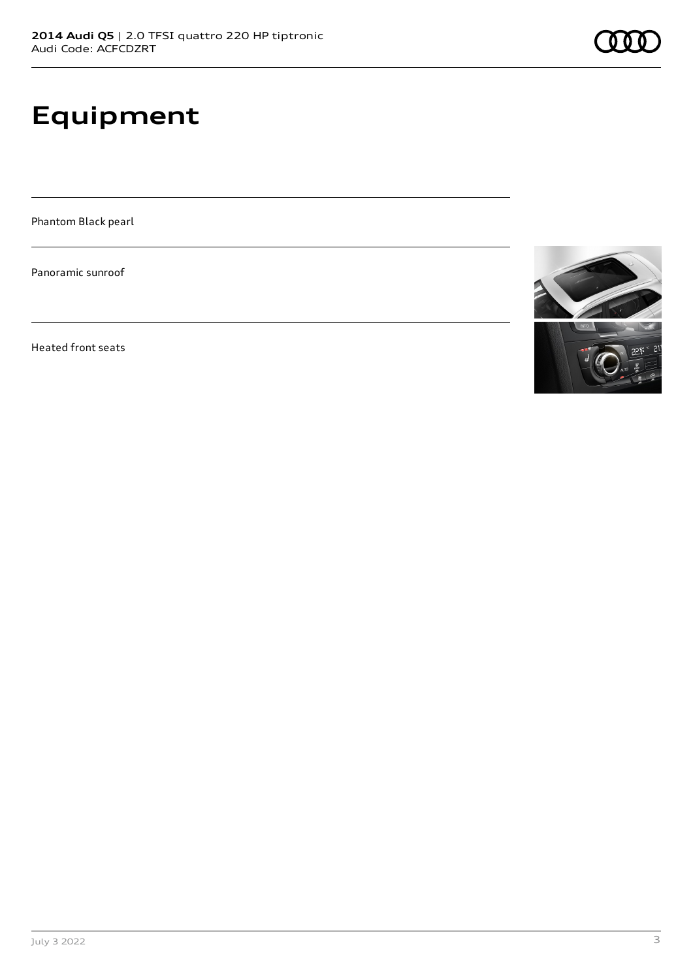# **Equipment**

Phantom Black pearl

Panoramic sunroof

Heated front seats

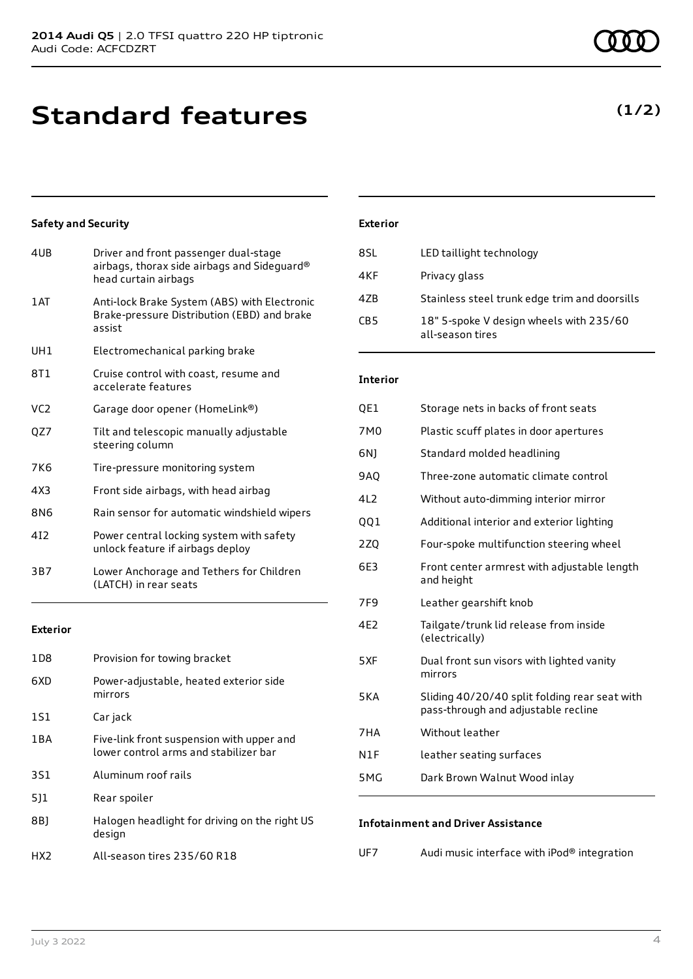## **Standard features**

## **Safety and Security**

| 4UB             | Driver and front passenger dual-stage<br>airbags, thorax side airbags and Sideguard®<br>head curtain airbags |
|-----------------|--------------------------------------------------------------------------------------------------------------|
| 1 AT            | Anti-lock Brake System (ABS) with Electronic<br>Brake-pressure Distribution (EBD) and brake<br>assist        |
| UH <sub>1</sub> | Electromechanical parking brake                                                                              |
| 8T1             | Cruise control with coast, resume and<br>accelerate features                                                 |
| VC <sub>2</sub> | Garage door opener (HomeLink®)                                                                               |
| QZ7             | Tilt and telescopic manually adjustable<br>steering column                                                   |
| 7K <sub>6</sub> | Tire-pressure monitoring system                                                                              |
| 4X3             | Front side airbags, with head airbag                                                                         |
| 8N6             | Rain sensor for automatic windshield wipers                                                                  |
| 412             | Power central locking system with safety<br>unlock feature if airbags deploy                                 |
| 3B7             | Lower Anchorage and Tethers for Children<br>(LATCH) in rear seats                                            |
|                 |                                                                                                              |

## **Exterior**

| 1D8   | Provision for towing bracket                                                       |
|-------|------------------------------------------------------------------------------------|
| 6XD   | Power-adjustable, heated exterior side<br>mirrors                                  |
| 1S1   | Car jack                                                                           |
| 1 B A | Five-link front suspension with upper and<br>lower control arms and stabilizer bar |
| 3S1   | Aluminum roof rails                                                                |
| 511   | Rear spoiler                                                                       |
| 8B)   | Halogen headlight for driving on the right US<br>design                            |
| HX2   | All-season tires 235/60 R18                                                        |

## **Exterior**

| 8SL             | LED taillight technology                                    |
|-----------------|-------------------------------------------------------------|
| 4KF             | Privacy glass                                               |
| 47 <sub>B</sub> | Stainless steel trunk edge trim and doorsills               |
| CB <sub>5</sub> | 18" 5-spoke V design wheels with 235/60<br>all-season tires |

## **Interior**

| QE1             | Storage nets in backs of front seats                                                 |
|-----------------|--------------------------------------------------------------------------------------|
| 7M0             | Plastic scuff plates in door apertures                                               |
| 6N)             | Standard molded headlining                                                           |
| <b>9AO</b>      | Three-zone automatic climate control                                                 |
| 4L2             | Without auto-dimming interior mirror                                                 |
| QQ1             | Additional interior and exterior lighting                                            |
| 2Z <sub>0</sub> | Four-spoke multifunction steering wheel                                              |
| 6E3             | Front center armrest with adjustable length<br>and height                            |
| 7F <sub>9</sub> | Leather gearshift knob                                                               |
| 4F <sub>2</sub> | Tailgate/trunk lid release from inside<br>(electrically)                             |
| 5XF             | Dual front sun visors with lighted vanity<br>mirrors                                 |
| 5KA             | Sliding 40/20/40 split folding rear seat with<br>pass-through and adjustable recline |
| 7HA             | Without leather                                                                      |
| N1F             | leather seating surfaces                                                             |
| 5MG             | Dark Brown Walnut Wood inlay                                                         |
|                 |                                                                                      |

## **Infotainment and Driver Assistance**

| UF7 | Audi music interface with iPod® integration |  |
|-----|---------------------------------------------|--|
|-----|---------------------------------------------|--|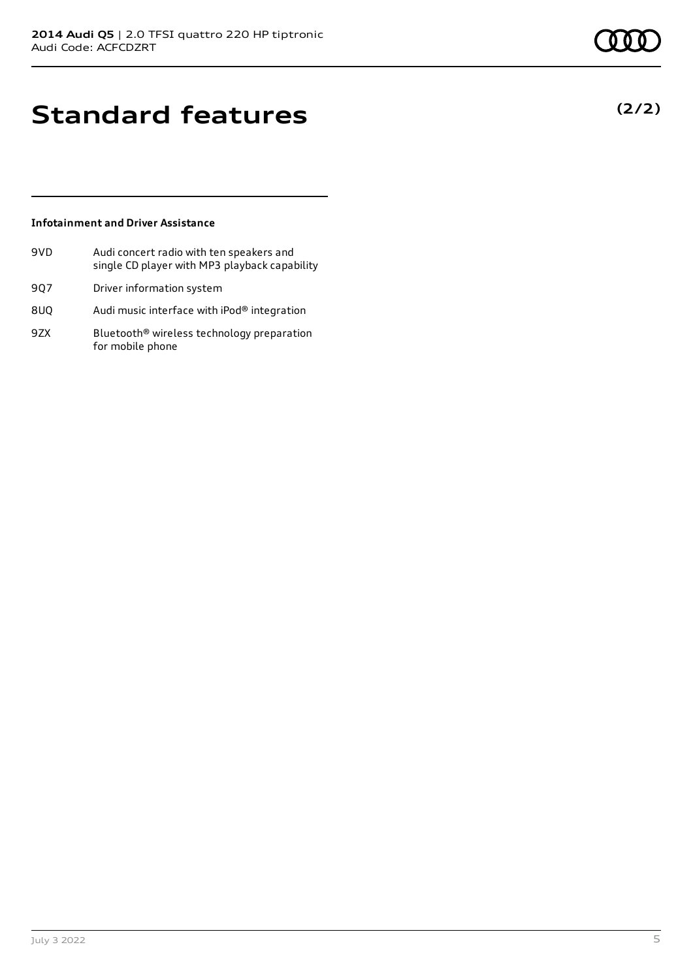**(2/2)**

## **Standard features**

## **Infotainment and Driver Assistance**

- 9VD Audi concert radio with ten speakers and single CD player with MP3 playback capability
- 9Q7 Driver information system
- 8UQ Audi music interface with iPod® integration
- 9ZX Bluetooth<sup>®</sup> wireless technology preparation for mobile phone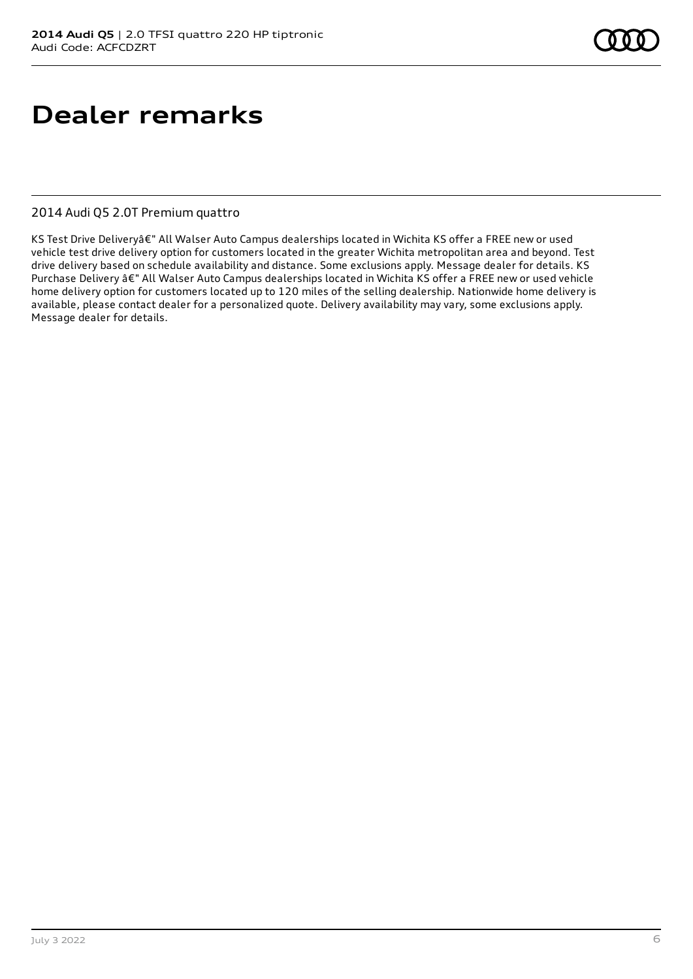# **Dealer remarks**

## 2014 Audi Q5 2.0T Premium quattro

KS Test Drive Deliveryâ€" All Walser Auto Campus dealerships located in Wichita KS offer a FREE new or used vehicle test drive delivery option for customers located in the greater Wichita metropolitan area and beyond. Test drive delivery based on schedule availability and distance. Some exclusions apply. Message dealer for details. KS Purchase Delivery â€" All Walser Auto Campus dealerships located in Wichita KS offer a FREE new or used vehicle home delivery option for customers located up to 120 miles of the selling dealership. Nationwide home delivery is available, please contact dealer for a personalized quote. Delivery availability may vary, some exclusions apply. Message dealer for details.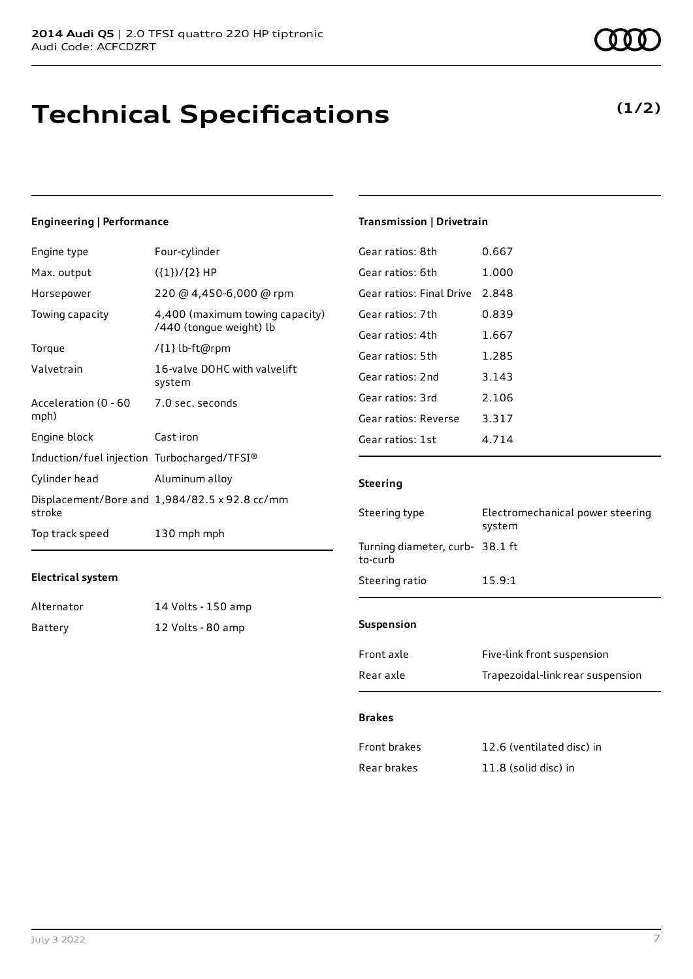## **Technical Specifications**

## **Engineering | Performance**

| Engine type                                     | Four-cylinder                                              |
|-------------------------------------------------|------------------------------------------------------------|
| Max. output                                     | $({1})/{2}$ HP                                             |
| Horsepower                                      | 220 @ 4,450-6,000 @ rpm                                    |
| Towing capacity                                 | 4,400 (maximum towing capacity)<br>/440 (tongue weight) lb |
| Torque                                          | /{1} lb-ft@rpm                                             |
| Valvetrain                                      | 16-valve DOHC with valvelift<br>system                     |
| Acceleration (0 - 60 - 7.0 sec. seconds<br>mph) |                                                            |
| Engine block                                    | Cast iron                                                  |
| Induction/fuel injection Turbocharged/TFSI®     |                                                            |
| Cylinder head                                   | Aluminum alloy                                             |
| stroke                                          | Displacement/Bore and 1,984/82.5 x 92.8 cc/mm              |
| Top track speed                                 | 130 mph mph                                                |

### **Electrical system**

| Alternator | 14 Volts - 150 amp |
|------------|--------------------|
| Battery    | 12 Volts - 80 amp  |

## **Transmission | Drivetrain**

| Gear ratios: 8th         | 0.667   |
|--------------------------|---------|
| Gear ratios: 6th         | 1.000   |
| Gear ratios: Final Drive | 2.848   |
| Gear ratios: 7th         | 0.839   |
| Gear ratios: 4th         | 1.667   |
| Gear ratios: 5th         | 1.285   |
| Gear ratios: 2nd         | 3.143   |
| Gear ratios: 3rd         | 2.106   |
| Gear ratios: Reverse     | 3.317   |
| Gear ratios: 1st         | 4 7 1 4 |
|                          |         |

## **Steering**

| Steering type                              | Electromechanical power steering<br>system |
|--------------------------------------------|--------------------------------------------|
| Turning diameter, curb- 38.1 ft<br>to-curb |                                            |
| Steering ratio                             | 15.9:1                                     |
|                                            |                                            |

## **Suspension**

| Front axle | Five-link front suspension       |
|------------|----------------------------------|
| Rear axle  | Trapezoidal-link rear suspension |

### **Brakes**

| Front brakes | 12.6 (ventilated disc) in |
|--------------|---------------------------|
| Rear brakes  | 11.8 (solid disc) in      |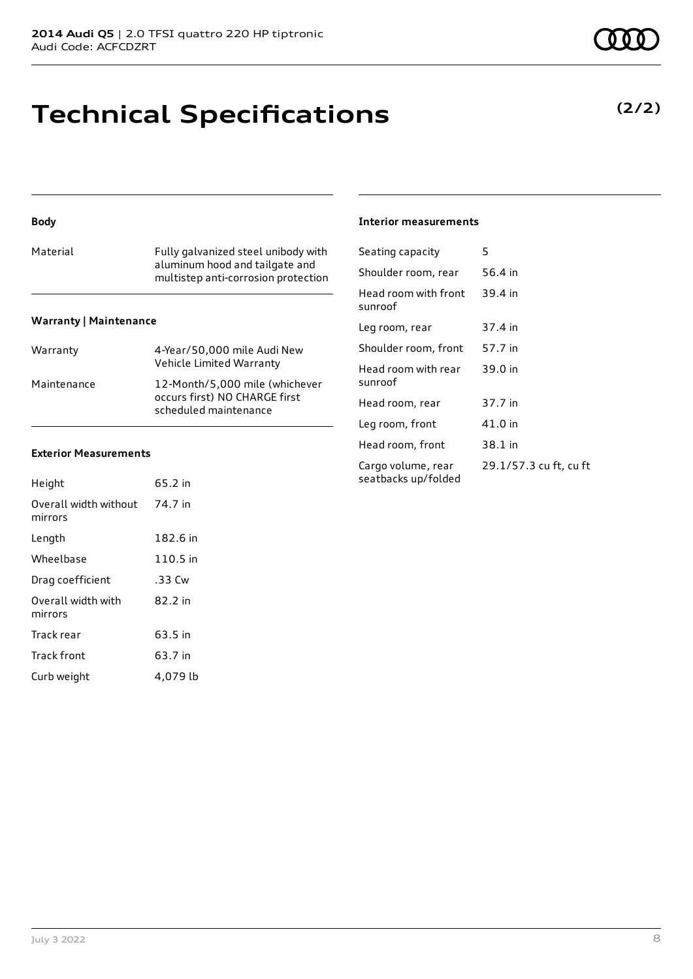## **Technical Specifications**

## **Body**

| Material | Fully galvanized steel unibody with<br>aluminum hood and tailgate and<br>multistep anti-corrosion protection |
|----------|--------------------------------------------------------------------------------------------------------------|
|          |                                                                                                              |

## **Warranty | Maintenance**

| Warranty    | 4-Year/50,000 mile Audi New<br>Vehicle Limited Warranty                                  |
|-------------|------------------------------------------------------------------------------------------|
| Maintenance | 12-Month/5,000 mile (whichever<br>occurs first) NO CHARGE first<br>scheduled maintenance |

### **Exterior Measurements**

| Height                           | 65.2 in  |
|----------------------------------|----------|
| Overall width without<br>mirrors | 74.7 in  |
| Length                           | 182.6 in |
| Wheelbase                        | 110.5 in |
| Drag coefficient                 | .33 Cw   |
| Overall width with<br>mirrors    | 82.2 in  |
| Track rear                       | 63.5 in  |
| Track front                      | 63.7 in  |
| Curb weight                      | 4.079 lb |

### **Interior measurements**

| Seating capacity                          | 5                      |
|-------------------------------------------|------------------------|
| Shoulder room, rear                       | 56.4 in                |
| Head room with front<br>sunroof           | 39.4 in                |
| Leg room, rear                            | 37.4 in                |
| Shoulder room, front                      | 57.7 in                |
| Head room with rear<br>sunroof            | 39.0 in                |
| Head room, rear                           | 37.7 in                |
| Leg room, front                           | 41.0 in                |
| Head room, front                          | 38.1 in                |
| Cargo volume, rear<br>seatbacks up/folded | 29.1/57.3 cu ft, cu ft |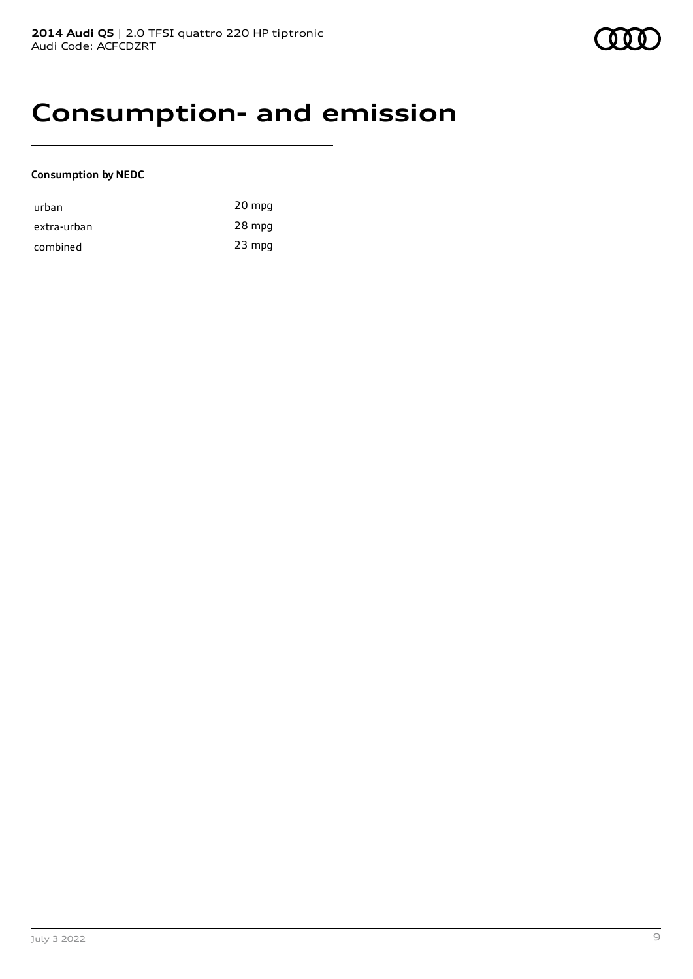## **Consumption- and emission**

## **Consumption by NEDC**

| urban       | 20 mpg   |
|-------------|----------|
| extra-urban | 28 mpg   |
| combined    | $23$ mpg |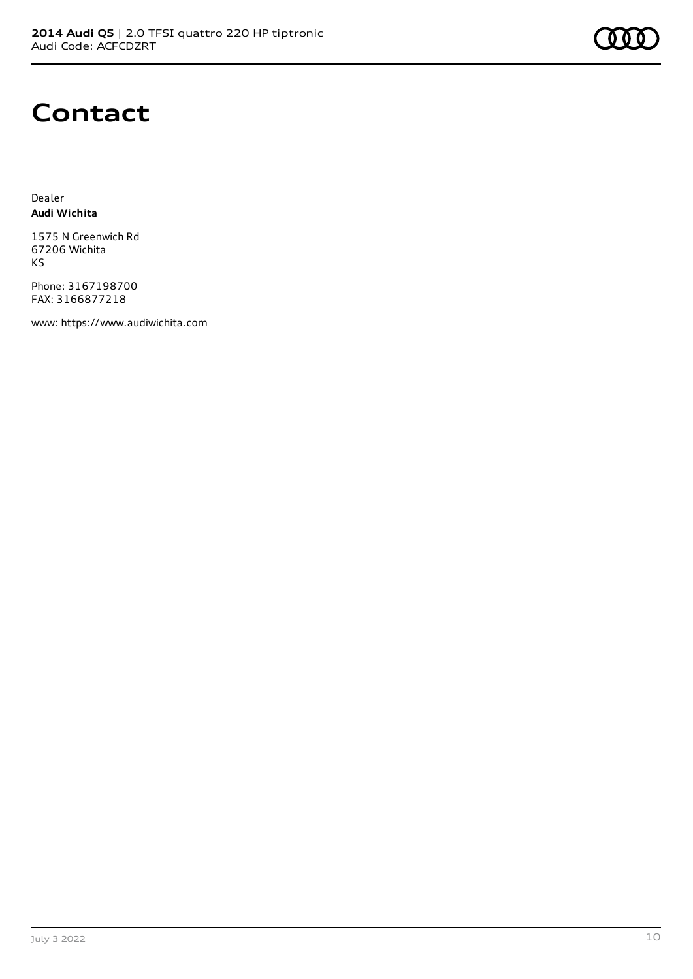

## **Contact**

Dealer **Audi Wichita**

1575 N Greenwich Rd 67206 Wichita KS

Phone: 3167198700 FAX: 3166877218

www: [https://www.audiwichita.com](https://www.audiwichita.com/)